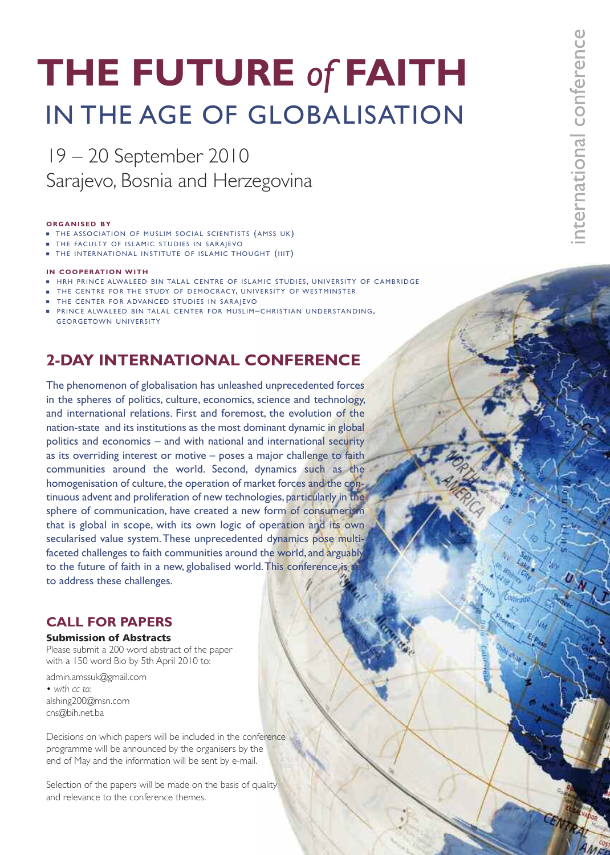# **THE FUTURE** *of* **FAITH** in The Age oF globAliSATion

19 – 20 September 2010 Sarajevo, Bosnia and Herzegovina

### **ORGANISED BY**

- THE ASSOCIATION OF MUSLIM SOCIAL SCIENTISTS (AMSS UK)
- n THE FACULTY OF ISLAMIC STUDIES IN SARAJEVO
- **E** THE INTERNATIONAL INSTITUTE OF ISLAMIC THOUGHT (IIIT)

#### **IN COOPERATION WITH**

- n hrh prince alwaleed bin talal centre of Islamic studies, university of cambridge
- **n** THE CENTRE FOR THE STUDY OF DEMOCRACY, UNIVERSITY OF WESTMINSTER
- n THE CENTER FOR ADVANCED STUDIES IN SARAJEVO
- n prince alwaleed bin talal center for muslim–christian understanding, **GEORGETOWN UNIVERSITY**

## **2-day international conference**

The phenomenon of globalisation has unleashed unprecedented forces in the spheres of politics, culture, economics, science and technology, and international relations. First and foremost, the evolution of the nation-state and its institutions as the most dominant dynamic in global politics and economics – and with national and international security as its overriding interest or motive – poses a major challenge to faith communities around the world. Second, dynamics such as the homogenisation of culture, the operation of market forces and the continuous advent and proliferation of new technologies, particularly in the sphere of communication, have created a new form of consumerism that is global in scope, with its own logic of operation and its own secularised value system.These unprecedented dynamics pose multifaceted challenges to faith communities around the world, and arguably, to the future of faith in a new, globalised world. This conference is to address these challenges.

## **call for PaPerS**

## **Submission of Abstracts**

Please submit a 200 word abstract of the paper with a 150 word Bio by 5th April 2010 to:

admin.amssuk@gmail.com • *with cc to:* alshing200@msn.com cns@bih.net.ba

Decisions on which papers will be included in the conference programme will be announced by the organisers by the end of May and the information will be sent by e-mail.

Selection of the papers will be made on the basis of quality and relevance to the conference themes.